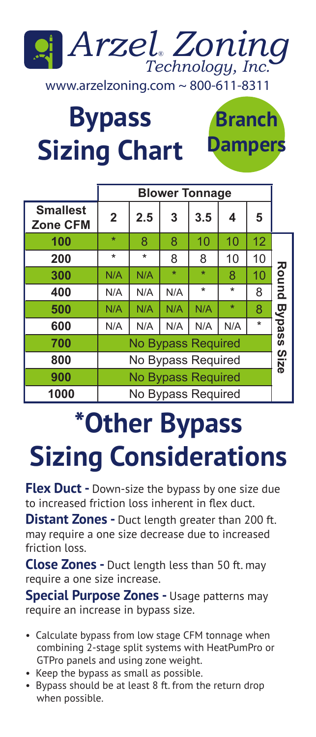

**Branch**

**Dampers**

**Bypass Sizing Chart**

|                                    | <b>Blower Tonnage</b>     |         |         |         |         |         |               |  |
|------------------------------------|---------------------------|---------|---------|---------|---------|---------|---------------|--|
| <b>Smallest</b><br><b>Zone CFM</b> | $\overline{2}$            | 2.5     | 3       | 3.5     | 4       | 5       |               |  |
| 100                                | $\star$                   | 8       | 8       | 10      | 10      | 12      |               |  |
| 200                                | $\star$                   | $\star$ | 8       | 8       | 10      | 10      |               |  |
| 300                                | N/A                       | N/A     | $\star$ | $\star$ | 8       | 10      | Round         |  |
| 400                                | N/A                       | N/A     | N/A     | $\star$ | $\star$ | 8       |               |  |
| 500                                | N/A                       | N/A     | N/A     | N/A     | $\star$ | 8       |               |  |
| 600                                | N/A                       | N/A     | N/A     | N/A     | N/A     | $\star$ | <b>Bypass</b> |  |
| 700                                | <b>No Bypass Required</b> |         |         |         |         |         |               |  |
| 800                                | No Bypass Required        |         |         |         |         |         |               |  |
| 900                                | <b>No Bypass Required</b> |         |         |         |         |         |               |  |
| 1000                               | No Bypass Required        |         |         |         |         |         |               |  |

## **\*Other Bypass Sizing Considerations**

**Flex Duct -** Down-size the bypass by one size due to increased friction loss inherent in flex duct.

**Distant Zones -** Duct length greater than 200 ft. may require a one size decrease due to increased friction loss.

**Close Zones -** Duct length less than 50 ft. may require a one size increase.

**Special Purpose Zones -** Usage patterns may require an increase in bypass size.

- Calculate bypass from low stage CFM tonnage when combining 2-stage split systems with HeatPumPro or GTPro panels and using zone weight.
- Keep the bypass as small as possible.
- Bypass should be at least 8 ft. from the return drop when possible.